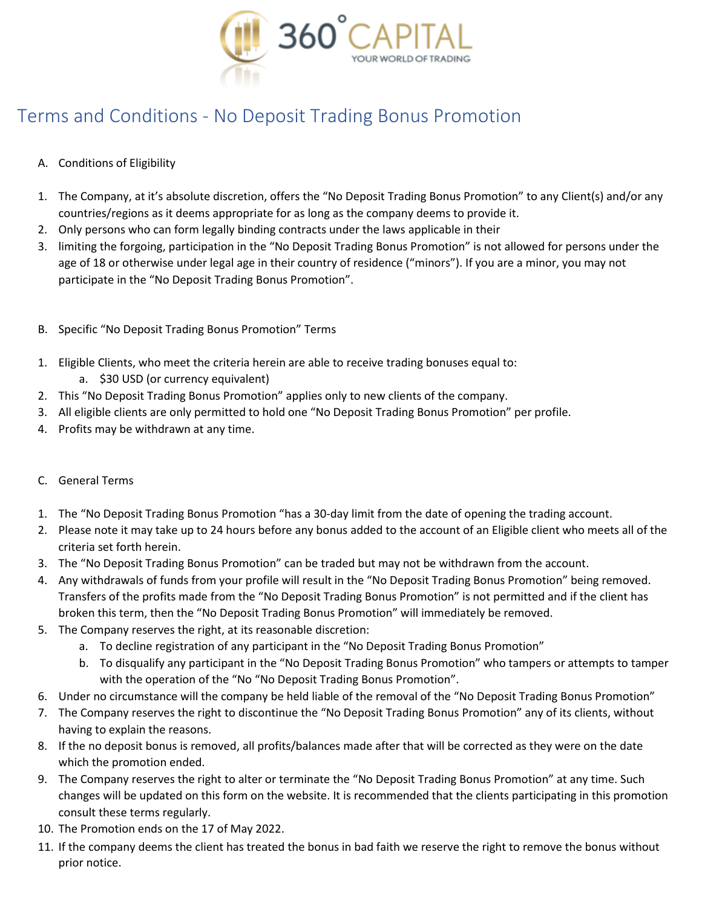

# Terms and Conditions - No Deposit Trading Bonus Promotion

## A. Conditions of Eligibility

- 1. The Company, at it's absolute discretion, offers the "No Deposit Trading Bonus Promotion" to any Client(s) and/or any countries/regions as it deems appropriate for as long as the company deems to provide it.
- 2. Only persons who can form legally binding contracts under the laws applicable in their
- 3. limiting the forgoing, participation in the "No Deposit Trading Bonus Promotion" is not allowed for persons under the age of 18 or otherwise under legal age in their country of residence ("minors"). If you are a minor, you may not participate in the "No Deposit Trading Bonus Promotion".
- B. Specific "No Deposit Trading Bonus Promotion" Terms
- 1. Eligible Clients, who meet the criteria herein are able to receive trading bonuses equal to:
	- a. \$30 USD (or currency equivalent)
- 2. This "No Deposit Trading Bonus Promotion" applies only to new clients of the company.
- 3. All eligible clients are only permitted to hold one "No Deposit Trading Bonus Promotion" per profile.
- 4. Profits may be withdrawn at any time.

## C. General Terms

- 1. The "No Deposit Trading Bonus Promotion "has a 30-day limit from the date of opening the trading account.
- 2. Please note it may take up to 24 hours before any bonus added to the account of an Eligible client who meets all of the criteria set forth herein.
- 3. The "No Deposit Trading Bonus Promotion" can be traded but may not be withdrawn from the account.
- 4. Any withdrawals of funds from your profile will result in the "No Deposit Trading Bonus Promotion" being removed. Transfers of the profits made from the "No Deposit Trading Bonus Promotion" is not permitted and if the client has broken this term, then the "No Deposit Trading Bonus Promotion" will immediately be removed.
- 5. The Company reserves the right, at its reasonable discretion:
	- a. To decline registration of any participant in the "No Deposit Trading Bonus Promotion"
	- b. To disqualify any participant in the "No Deposit Trading Bonus Promotion" who tampers or attempts to tamper with the operation of the "No "No Deposit Trading Bonus Promotion".
- 6. Under no circumstance will the company be held liable of the removal of the "No Deposit Trading Bonus Promotion"
- 7. The Company reserves the right to discontinue the "No Deposit Trading Bonus Promotion" any of its clients, without having to explain the reasons.
- 8. If the no deposit bonus is removed, all profits/balances made after that will be corrected as they were on the date which the promotion ended.
- 9. The Company reserves the right to alter or terminate the "No Deposit Trading Bonus Promotion" at any time. Such changes will be updated on this form on the website. It is recommended that the clients participating in this promotion consult these terms regularly.
- 10. The Promotion ends on the 17 of May 2022.
- 11. If the company deems the client has treated the bonus in bad faith we reserve the right to remove the bonus without prior notice.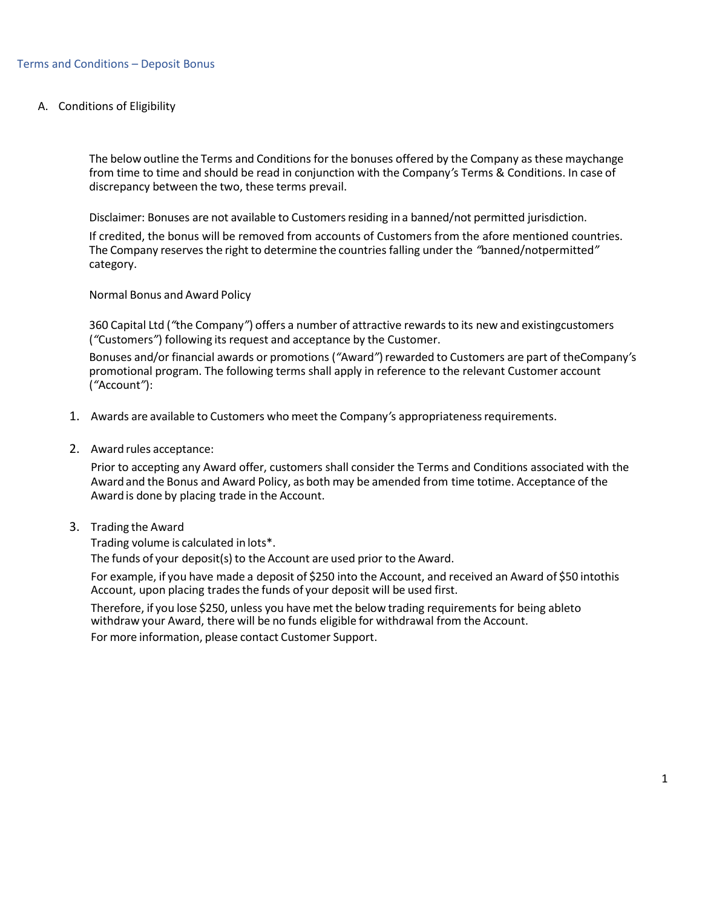A. Conditions of Eligibility

The below outline the Terms and Conditions for the bonuses offered by the Company as these maychange from time to time and should be read in conjunction with the Company*'*s Terms & Conditions. In case of discrepancy between the two, these terms prevail.

Disclaimer: Bonuses are not available to Customers residing in a banned/not permitted jurisdiction.

If credited, the bonus will be removed from accounts of Customers from the afore mentioned countries. The Company reserves the right to determine the countries falling under the *"*banned/notpermitted*"* category.

Normal Bonus and Award Policy

360 Capital Ltd (*"*the Company*"*) offers a number of attractive rewardsto its new and existingcustomers (*"*Customers*"*) following its request and acceptance by the Customer.

Bonuses and/or financial awards or promotions (*"*Award*"*)rewarded to Customers are part of theCompany*'*s promotional program. The following terms shall apply in reference to the relevant Customer account (*"*Account*"*):

- 1. Awards are available to Customers who meet the Company*'*s appropriatenessrequirements.
- 2. Award rules acceptance:

Prior to accepting any Award offer, customers shall consider the Terms and Conditions associated with the Award and the Bonus and Award Policy, as both may be amended from time totime. Acceptance of the Award is done by placing trade in the Account.

3. Trading the Award

Trading volume is calculated in lots\*.

The funds of your deposit(s) to the Account are used prior to the Award.

For example, if you have made a deposit of \$250 into the Account, and received an Award of \$50 intothis Account, upon placing trades the funds of your deposit will be used first.

Therefore, if you lose \$250, unless you have met the below trading requirements for being ableto withdraw your Award, there will be no funds eligible for withdrawal from the Account. For more information, please contact Customer Support.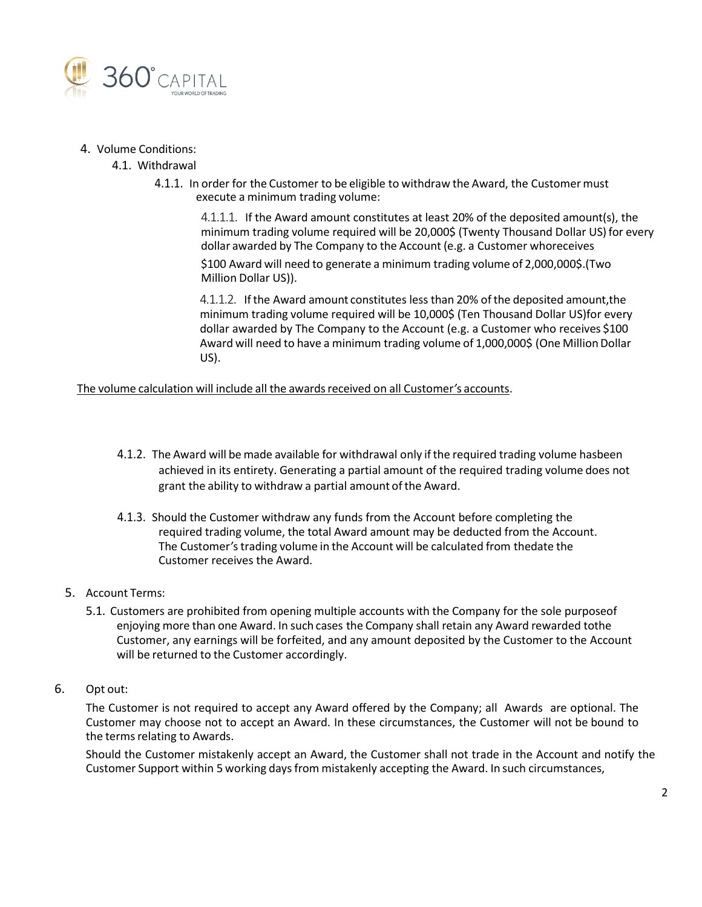

### 4. Volume Conditions:

### 4.1. Withdrawal

4.1.1. In order for the Customer to be eligible to withdraw the Award, the Customer must execute a minimum trading volume:

4.1.1.1. If the Award amount constitutes at least 20% of the deposited amount(s), the minimum trading volume required will be 20,000\$ (Twenty Thousand Dollar US) for every dollar awarded by The Company to the Account (e.g. a Customer whoreceives

\$100 Award will need to generate a minimum trading volume of 2,000,000\$.(Two Million Dollar US)).

4.1.1.2. Ifthe Award amount constitutes less than 20% ofthe deposited amount,the minimum trading volume required will be 10,000\$ (Ten Thousand Dollar US)for every dollar awarded by The Company to the Account (e.g. a Customer who receives \$100 Award will need to have a minimum trading volume of 1,000,000\$ (One Million Dollar US).

The volume calculation will include all the awardsreceived on all Customer*'*s accounts.

- 4.1.2. The Award will be made available for withdrawal only ifthe required trading volume hasbeen achieved in its entirety. Generating a partial amount of the required trading volume does not grant the ability to withdraw a partial amount of the Award.
- 4.1.3. Should the Customer withdraw any funds from the Account before completing the required trading volume, the total Award amount may be deducted from the Account. The Customer*'*strading volume in the Account will be calculated from thedate the Customer receives the Award.
- 5. Account Terms:
	- 5.1. Customers are prohibited from opening multiple accounts with the Company for the sole purposeof enjoying more than one Award. In such cases the Company shall retain any Award rewarded tothe Customer, any earnings will be forfeited, and any amount deposited by the Customer to the Account will be returned to the Customer accordingly.
- 6. Opt out:

The Customer is not required to accept any Award offered by the Company; all Awards are optional. The Customer may choose not to accept an Award. In these circumstances, the Customer will not be bound to the terms relating to Awards.

Should the Customer mistakenly accept an Award, the Customer shall not trade in the Account and notify the Customer Support within 5 working daysfrom mistakenly accepting the Award. In such circumstances,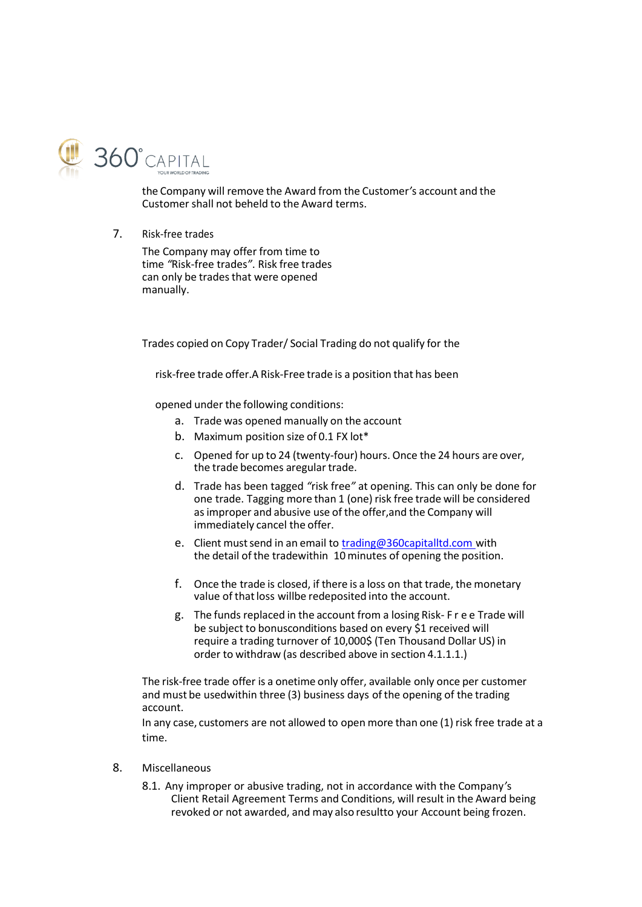

the Company will remove the Award from the Customer*'*s account and the Customer shall not beheld to the Award terms.

7. Risk-free trades

The Company may offer from time to time *"*Risk-free trades*"*. Risk free trades can only be trades that were opened manually.

Trades copied on Copy Trader/ Social Trading do not qualify for the

risk-free trade offer.A Risk-Free trade is a position that has been

opened under the following conditions:

- a. Trade was opened manually on the account
- b. Maximum position size of 0.1 FX lot\*
- c. Opened for up to 24 (twenty-four) hours. Once the 24 hours are over, the trade becomes aregular trade.
- d. Trade has been tagged *"*risk free*"* at opening. This can only be done for one trade. Tagging more than 1 (one) risk free trade will be considered asimproper and abusive use of the offer,and the Company will immediately cancel the offer.
- e. Client must send in an email to [trading@360capitalltd.com](mailto:trading@360capitalltd.comwith) with the detail of the tradewithin 10 minutes of opening the position.
- f. Once the trade is closed, if there is a loss on that trade, the monetary value of that loss willbe redeposited into the account.
- g. The funds replaced in the account from a losing Risk- F r e e Trade will be subject to bonusconditions based on every \$1 received will require a trading turnover of 10,000\$ (Ten Thousand Dollar US) in order to withdraw (as described above in section 4.1.1.1.)

The risk-free trade offer is a onetime only offer, available only once per customer and must be usedwithin three (3) business days ofthe opening of the trading account.

In any case, customers are not allowed to open more than one (1) risk free trade at a time.

- 8. Miscellaneous
	- 8.1. Any improper or abusive trading, not in accordance with the Company*'*s Client Retail Agreement Terms and Conditions, will result in the Award being revoked or not awarded, and may also resultto your Account being frozen.